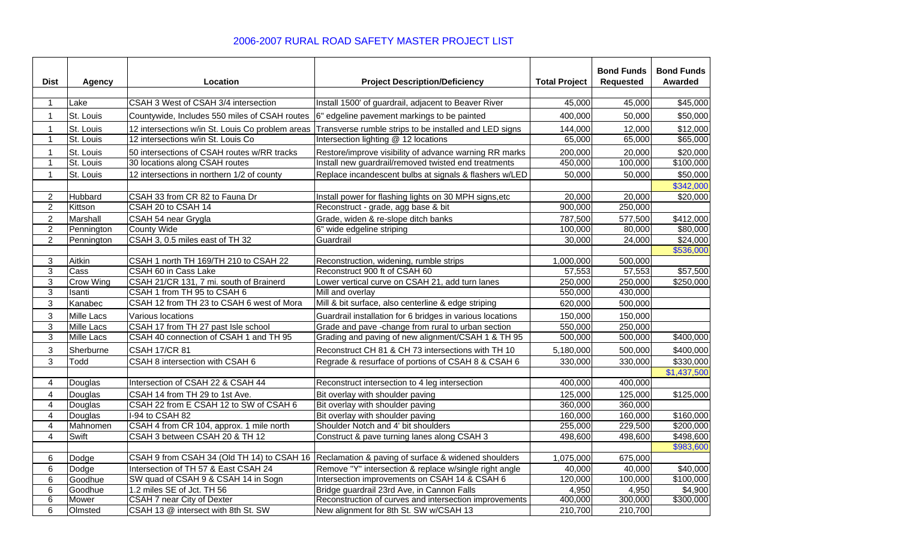## 2006-2007 RURAL ROAD SAFETY MASTER PROJECT LIS T

| <b>Dist</b>    | <b>Agency</b>     | Location                                         | <b>Project Description/Deficiency</b>                                                          | <b>Total Project</b> | <b>Bond Funds</b><br><b>Requested</b> | <b>Bond Funds</b><br>Awarded |
|----------------|-------------------|--------------------------------------------------|------------------------------------------------------------------------------------------------|----------------------|---------------------------------------|------------------------------|
| 1              | Lake              | CSAH 3 West of CSAH 3/4 intersection             | Install 1500' of guardrail, adjacent to Beaver River                                           | 45,000               | 45,000                                | \$45,000                     |
| $\mathbf 1$    | St. Louis         |                                                  |                                                                                                | 400,000              | 50,000                                | \$50,000                     |
|                |                   | Countywide, Includes 550 miles of CSAH routes    | 6" edgeline pavement markings to be painted                                                    |                      |                                       |                              |
| $\mathbf{1}$   | St. Louis         | 12 intersections w/in St. Louis Co problem areas | Transverse rumble strips to be installed and LED signs                                         | 144,000              | 12,000                                | \$12,000                     |
| $\mathbf{1}$   | St. Louis         | 12 intersections w/in St. Louis Co               | Intersection lighting @ 12 locations                                                           | 65,000               | 65,000                                | \$65,000                     |
| $\mathbf{1}$   | St. Louis         | 50 intersections of CSAH routes w/RR tracks      | Restore/improve visibility of advance warning RR marks                                         | 200,000              | 20,000                                | \$20,000                     |
| $\mathbf{1}$   | St. Louis         | 30 locations along CSAH routes                   | Install new guardrail/removed twisted end treatments                                           | 450,000              | 100,000                               | \$100,000                    |
| $\mathbf{1}$   | St. Louis         | 12 intersections in northern 1/2 of county       | Replace incandescent bulbs at signals & flashers w/LED                                         | 50,000               | 50,000                                | \$50,000                     |
|                |                   |                                                  |                                                                                                |                      |                                       | \$342,000                    |
| $\overline{2}$ | Hubbard           | CSAH 33 from CR 82 to Fauna Dr                   | Install power for flashing lights on 30 MPH signs, etc                                         | 20,000               | 20,000                                | \$20,000                     |
| $\overline{2}$ | Kittson           | CSAH 20 to CSAH 14                               | Reconstruct - grade, agg base & bit                                                            | 900,000              | 250,000                               |                              |
| $\overline{2}$ | Marshall          | CSAH 54 near Grygla                              | Grade, widen & re-slope ditch banks                                                            | 787,500              | 577,500                               | \$412,000                    |
| $\overline{2}$ | Pennington        | <b>County Wide</b>                               | 6" wide edgeline striping                                                                      | 100,000              | 80,000                                | \$80,000                     |
| $\overline{a}$ | Pennington        | CSAH 3, 0.5 miles east of TH 32                  | Guardrail                                                                                      | 30,000               | 24,000                                | \$24,000                     |
|                |                   |                                                  |                                                                                                |                      |                                       | \$536,000                    |
| $\mathbf{3}$   | Aitkin            | CSAH 1 north TH 169/TH 210 to CSAH 22            | Reconstruction, widening, rumble strips                                                        | 1,000,000            | 500,000                               |                              |
| $\overline{3}$ | Cass              | CSAH 60 in Cass Lake                             | Reconstruct 900 ft of CSAH 60                                                                  | 57,553               | 57,553                                | \$57,500                     |
| 3              | <b>Crow Wing</b>  | CSAH 21/CR 131, 7 mi. south of Brainerd          | Lower vertical curve on CSAH 21, add turn lanes                                                | 250,000              | 250,000                               | \$250,000                    |
| $\overline{3}$ | Isanti            | CSAH 1 from TH 95 to CSAH 6                      | Mill and overlay                                                                               | 550,000              | 430,000                               |                              |
| 3              | Kanabec           | CSAH 12 from TH 23 to CSAH 6 west of Mora        | Mill & bit surface, also centerline & edge striping                                            | 620,000              | 500,000                               |                              |
| 3              | Mille Lacs        | Various locations                                | Guardrail installation for 6 bridges in various locations                                      | 150,000              | 150,000                               |                              |
| $\overline{3}$ | <b>Mille Lacs</b> | CSAH 17 from TH 27 past Isle school              | Grade and pave -change from rural to urban section                                             | 550,000              | 250,000                               |                              |
| 3              | <b>Mille Lacs</b> | CSAH 40 connection of CSAH 1 and TH 95           | Grading and paving of new alignment/CSAH 1 & TH 95                                             | 500,000              | $\overline{500,000}$                  | \$400,000                    |
| 3              | Sherburne         | <b>CSAH 17/CR 81</b>                             | Reconstruct CH 81 & CH 73 intersections with TH 10                                             | 5,180,000            | 500,000                               | \$400,000                    |
| 3              | Todd              | CSAH 8 intersection with CSAH 6                  | Regrade & resurface of portions of CSAH 8 & CSAH 6                                             | 330,000              | 330,000                               | \$330,000                    |
|                |                   |                                                  |                                                                                                |                      |                                       | \$1,437,500                  |
| 4              | Douglas           | Intersection of CSAH 22 & CSAH 44                | Reconstruct intersection to 4 leg intersection                                                 | 400,000              | 400,000                               |                              |
| 4              | Douglas           | CSAH 14 from TH 29 to 1st Ave.                   | Bit overlay with shoulder paving                                                               | 125,000              | 125,000                               | \$125,000                    |
| $\overline{4}$ | Douglas           | CSAH 22 from E CSAH 12 to SW of CSAH 6           | Bit overlay with shoulder paving                                                               | 360,000              | 360,000                               |                              |
| $\overline{4}$ | Douglas           | I-94 to CSAH 82                                  | Bit overlay with shoulder paving                                                               | 160,000              | 160,000                               | \$160,000                    |
| 4              | Mahnomen          | CSAH 4 from CR 104, approx. 1 mile north         | Shoulder Notch and 4' bit shoulders                                                            | 255,000              | 229,500                               | \$200,000                    |
| $\overline{4}$ | Swift             | CSAH 3 between CSAH 20 & TH 12                   | Construct & pave turning lanes along CSAH 3                                                    | 498,600              | 498,600                               | \$498,600                    |
|                |                   |                                                  |                                                                                                |                      |                                       | \$983,600                    |
| 6              | Dodge             |                                                  | CSAH 9 from CSAH 34 (Old TH 14) to CSAH 16 Reclamation & paving of surface & widened shoulders | 1,075,000            | 675,000                               |                              |
| 6              | Dodge             | Intersection of TH 57 & East CSAH 24             | Remove "Y" intersection & replace w/single right angle                                         | 40,000               | 40,000                                | \$40,000                     |
| 6              | Goodhue           | SW quad of CSAH 9 & CSAH 14 in Sogn              | Intersection improvements on CSAH 14 & CSAH 6                                                  | 120,000              | 100,000                               | \$100,000                    |
| 6              | Goodhue           | 1.2 miles SE of Jct. TH 56                       | Bridge guardrail 23rd Ave, in Cannon Falls                                                     | 4,950                | 4,950                                 | \$4,900                      |
| 6              | Mower             | <b>CSAH 7 near City of Dexter</b>                | Reconstruction of curves and intersection improvements                                         | 400,000              | 300,000                               | \$300,000                    |
| 6              | Olmsted           | CSAH 13 @ intersect with 8th St. SW              | New alignment for 8th St. SW w/CSAH 13                                                         | 210,700              | 210,700                               |                              |